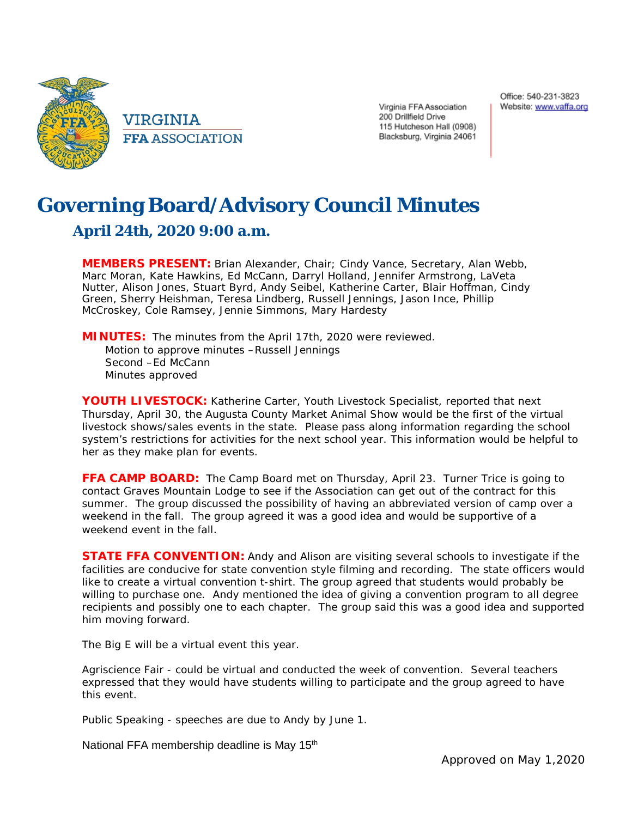

VIRGINIA **FFA ASSOCIATION**  Virginia FFA Association 200 Drillfield Drive 115 Hutcheson Hall (0908) Blacksburg, Virginia 24061

## **Governing Board/Advisory Council Minutes**

## **April 24th, 2020 9:00 a.m.**

**MEMBERS PRESENT:** Brian Alexander, Chair; Cindy Vance, Secretary, Alan Webb, Marc Moran, Kate Hawkins, Ed McCann, Darryl Holland, Jennifer Armstrong, LaVeta Nutter, Alison Jones, Stuart Byrd, Andy Seibel, Katherine Carter, Blair Hoffman, Cindy Green, Sherry Heishman, Teresa Lindberg, Russell Jennings, Jason Ince, Phillip McCroskey, Cole Ramsey, Jennie Simmons, Mary Hardesty

**MINUTES:** The minutes from the April 17th, 2020 were reviewed. Motion to approve minutes –Russell Jennings Second -Ed McCann Minutes approved

**YOUTH LIVESTOCK:** Katherine Carter, Youth Livestock Specialist, reported that next Thursday, April 30, the Augusta County Market Animal Show would be the first of the virtual livestock shows/sales events in the state. Please pass along information regarding the school system's restrictions for activities for the next school year. This information would be helpful to her as they make plan for events.

**FFA CAMP BOARD:** The Camp Board met on Thursday, April 23. Turner Trice is going to contact Graves Mountain Lodge to see if the Association can get out of the contract for this summer. The group discussed the possibility of having an abbreviated version of camp over a weekend in the fall. The group agreed it was a good idea and would be supportive of a weekend event in the fall.

**STATE FFA CONVENTION:** Andy and Alison are visiting several schools to investigate if the facilities are conducive for state convention style filming and recording. The state officers would like to create a virtual convention t-shirt. The group agreed that students would probably be willing to purchase one. Andy mentioned the idea of giving a convention program to all degree recipients and possibly one to each chapter. The group said this was a good idea and supported him moving forward.

The Big E will be a virtual event this year.

Agriscience Fair - could be virtual and conducted the week of convention. Several teachers expressed that they would have students willing to participate and the group agreed to have this event.

Public Speaking - speeches are due to Andy by June 1.

National FFA membership deadline is May 15<sup>th</sup>